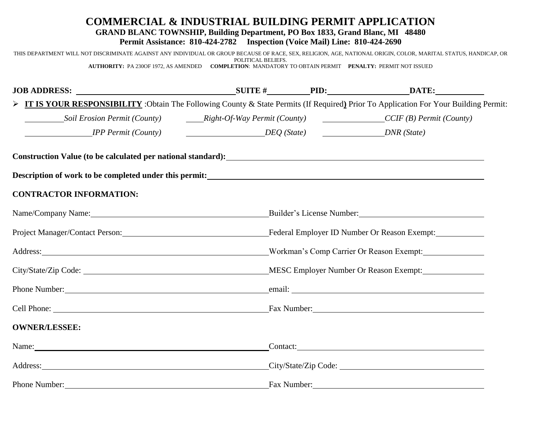### **COMMERCIAL & INDUSTRIAL BUILDING PERMIT APPLICATION GRAND BLANC TOWNSHIP, Building Department, PO Box 1833, Grand Blanc, MI 48480 Permit Assistance: 810-424-2782 Inspection (Voice Mail) Line: 810-424-2690**

THIS DEPARTMENT WILL NOT DISCRIMINATE AGAINST ANY INDIVIDUAL OR GROUP BECAUSE OF RACE, SEX, RELIGION, AGE, NATIONAL ORIGIN, COLOR, MARITAL STATUS, HANDICAP, OR POLITICAL BELIEFS. **AUTHORITY:** PA 230OF 1972, AS AMENDED **COMPLETION**: MANDATORY TO OBTAIN PERMIT **PENALTY:** PERMIT NOT ISSUED

| > IT IS YOUR RESPONSIBILITY: Obtain The Following County & State Permits (If Required) Prior To Application For Your Building Permit:                                                                                         |                         |                                                                                            |  |  |
|-------------------------------------------------------------------------------------------------------------------------------------------------------------------------------------------------------------------------------|-------------------------|--------------------------------------------------------------------------------------------|--|--|
|                                                                                                                                                                                                                               |                         |                                                                                            |  |  |
| <b>IPP Permit (County)</b>                                                                                                                                                                                                    | DEQ (State) DNR (State) |                                                                                            |  |  |
| Construction Value (to be calculated per national standard):<br><u>Construction Value</u> (to be calculated per national standard):                                                                                           |                         |                                                                                            |  |  |
| Description of work to be completed under this permit:<br><u>Description</u> of work to be completed under this permit:                                                                                                       |                         |                                                                                            |  |  |
| <b>CONTRACTOR INFORMATION:</b>                                                                                                                                                                                                |                         |                                                                                            |  |  |
|                                                                                                                                                                                                                               |                         |                                                                                            |  |  |
|                                                                                                                                                                                                                               |                         | Project Manager/Contact Person: Federal Employer ID Number Or Reason Exempt:               |  |  |
|                                                                                                                                                                                                                               |                         | Address: Morkman's Comp Carrier Or Reason Exempt: Morkman's Comp Carrier Or Reason Exempt: |  |  |
|                                                                                                                                                                                                                               |                         |                                                                                            |  |  |
|                                                                                                                                                                                                                               |                         |                                                                                            |  |  |
|                                                                                                                                                                                                                               |                         |                                                                                            |  |  |
| <b>OWNER/LESSEE:</b>                                                                                                                                                                                                          |                         |                                                                                            |  |  |
| Name: Name and the second contract of the second contract of the second contract of the second contract of the second contract of the second contract of the second contract of the second contract of the second contract of |                         | Contact: Contact:                                                                          |  |  |
|                                                                                                                                                                                                                               |                         | Address: City/State/Zip Code: City/State/Zip Code:                                         |  |  |
| Phone Number:                                                                                                                                                                                                                 | Fax Number:             |                                                                                            |  |  |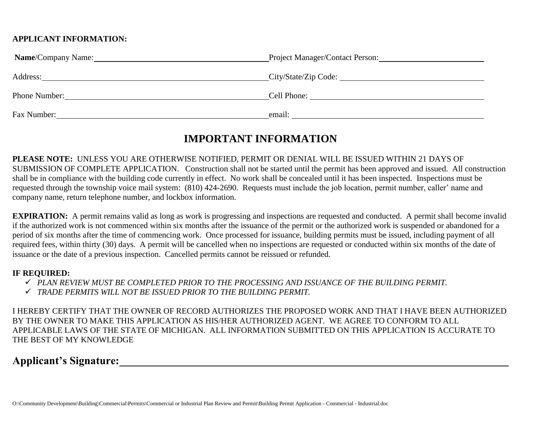### **APPLICANT INFORMATION:**

| Name/Company Name: | Project Manager/Contact Person: |  |
|--------------------|---------------------------------|--|
| Address:           | City/State/Zip Code:            |  |
| Phone Number:      | Cell Phone:                     |  |
| Fax Number:        | email:                          |  |

# **IMPORTANT INFORMATION**

**PLEASE NOTE:** UNLESS YOU ARE OTHERWISE NOTIFIED, PERMIT OR DENIAL WILL BE ISSUED WITHIN 21 DAYS OF SUBMISSION OF COMPLETE APPLICATION. Construction shall not be started until the permit has been approved and issued. All construction shall be in compliance with the building code currently in effect. No work shall be concealed until it has been inspected. Inspections must be requested through the township voice mail system: (810) 424-2690. Requests must include the job location, permit number, caller' name and company name, return telephone number, and lockbox information.

**EXPIRATION:** A permit remains valid as long as work is progressing and inspections are requested and conducted. A permit shall become invalid if the authorized work is not commenced within six months after the issuance of the permit or the authorized work is suspended or abandoned for a period of six months after the time of commencing work. Once processed for issuance, building permits must be issued, including payment of all required fees, within thirty (30) days. A permit will be cancelled when no inspections are requested or conducted within six months of the date of issuance or the date of a previous inspection. Cancelled permits cannot be reissued or refunded.

#### **IF REQUIRED:**

- *PLAN REVIEW MUST BE COMPLETED PRIOR TO THE PROCESSING AND ISSUANCE OF THE BUILDING PERMIT.*
- *TRADE PERMITS WILL NOT BE ISSUED PRIOR TO THE BUILDING PERMIT.*

I HEREBY CERTIFY THAT THE OWNER OF RECORD AUTHORIZES THE PROPOSED WORK AND THAT I HAVE BEEN AUTHORIZED BY THE OWNER TO MAKE THIS APPLICATION AS HIS/HER AUTHORIZED AGENT. WE AGREE TO CONFORM TO ALL APPLICABLE LAWS OF THE STATE OF MICHIGAN. ALL INFORMATION SUBMITTED ON THIS APPLICATION IS ACCURATE TO THE BEST OF MY KNOWLEDGE

# **Applicant's Signature:**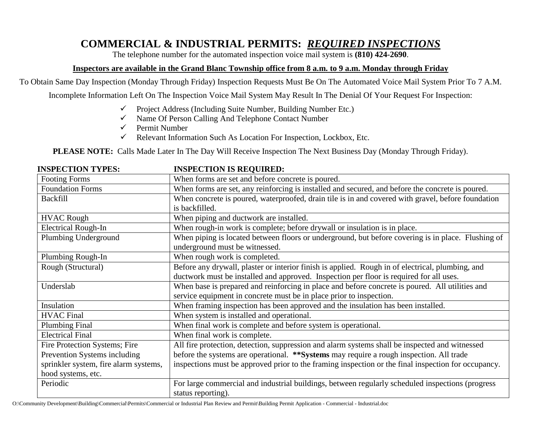# **COMMERCIAL & INDUSTRIAL PERMITS:** *REQUIRED INSPECTIONS*

The telephone number for the automated inspection voice mail system is **(810) 424-2690**.

## **Inspectors are available in the Grand Blanc Township office from 8 a.m. to 9 a.m. Monday through Friday**

To Obtain Same Day Inspection (Monday Through Friday) Inspection Requests Must Be On The Automated Voice Mail System Prior To 7 A.M.

Incomplete Information Left On The Inspection Voice Mail System May Result In The Denial Of Your Request For Inspection:

- $\checkmark$  Project Address (Including Suite Number, Building Number Etc.)
- $\checkmark$  Name Of Person Calling And Telephone Contact Number
- $\checkmark$  Permit Number
- $\checkmark$  Relevant Information Such As Location For Inspection, Lockbox, Etc.

**PLEASE NOTE:** Calls Made Later In The Day Will Receive Inspection The Next Business Day (Monday Through Friday).

| INDI LUTIVIN TITLD.                   | INSTEUTIUN IS REQUIRED;                                                                             |  |  |
|---------------------------------------|-----------------------------------------------------------------------------------------------------|--|--|
| <b>Footing Forms</b>                  | When forms are set and before concrete is poured.                                                   |  |  |
| <b>Foundation Forms</b>               | When forms are set, any reinforcing is installed and secured, and before the concrete is poured.    |  |  |
| <b>Backfill</b>                       | When concrete is poured, waterproofed, drain tile is in and covered with gravel, before foundation  |  |  |
|                                       | is backfilled.                                                                                      |  |  |
| <b>HVAC Rough</b>                     | When piping and ductwork are installed.                                                             |  |  |
| <b>Electrical Rough-In</b>            | When rough-in work is complete; before drywall or insulation is in place.                           |  |  |
| Plumbing Underground                  | When piping is located between floors or underground, but before covering is in place. Flushing of  |  |  |
|                                       | underground must be witnessed.                                                                      |  |  |
| Plumbing Rough-In                     | When rough work is completed.                                                                       |  |  |
| Rough (Structural)                    | Before any drywall, plaster or interior finish is applied. Rough in of electrical, plumbing, and    |  |  |
|                                       | ductwork must be installed and approved. Inspection per floor is required for all uses.             |  |  |
| Underslab                             | When base is prepared and reinforcing in place and before concrete is poured. All utilities and     |  |  |
|                                       | service equipment in concrete must be in place prior to inspection.                                 |  |  |
| Insulation                            | When framing inspection has been approved and the insulation has been installed.                    |  |  |
| <b>HVAC Final</b>                     | When system is installed and operational.                                                           |  |  |
| <b>Plumbing Final</b>                 | When final work is complete and before system is operational.                                       |  |  |
| <b>Electrical Final</b>               | When final work is complete.                                                                        |  |  |
| Fire Protection Systems; Fire         | All fire protection, detection, suppression and alarm systems shall be inspected and witnessed      |  |  |
| Prevention Systems including          | before the systems are operational. **Systems may require a rough inspection. All trade             |  |  |
| sprinkler system, fire alarm systems, | inspections must be approved prior to the framing inspection or the final inspection for occupancy. |  |  |
| hood systems, etc.                    |                                                                                                     |  |  |
| Periodic                              | For large commercial and industrial buildings, between regularly scheduled inspections (progress    |  |  |
|                                       | status reporting).                                                                                  |  |  |

#### **INSPECTION TYPES: INSPECTION IS REQUIRED:**

O:\Community Development\Building\Commercial\Permits\Commercial or Industrial Plan Review and Permit\Building Permit Application - Commercial - Industrial.doc